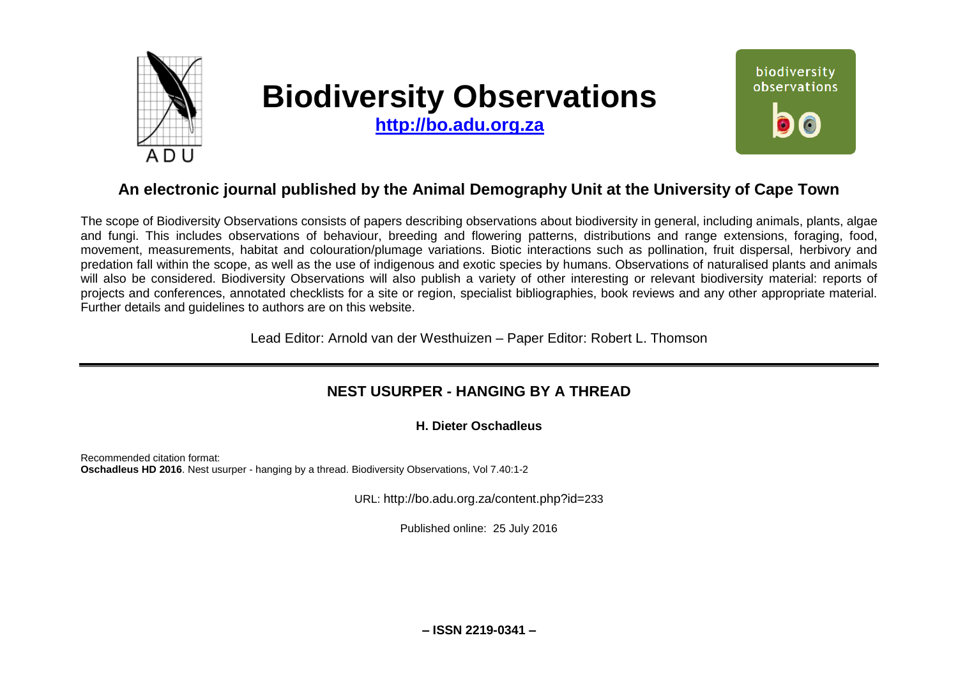

# **Biodiversity Observations**

**[http://bo.adu.org.za](http://bo.adu.org.za/)**



# **An electronic journal published by the Animal Demography Unit at the University of Cape Town**

The scope of Biodiversity Observations consists of papers describing observations about biodiversity in general, including animals, plants, algae and fungi. This includes observations of behaviour, breeding and flowering patterns, distributions and range extensions, foraging, food, movement, measurements, habitat and colouration/plumage variations. Biotic interactions such as pollination, fruit dispersal, herbivory and predation fall within the scope, as well as the use of indigenous and exotic species by humans. Observations of naturalised plants and animals will also be considered. Biodiversity Observations will also publish a variety of other interesting or relevant biodiversity material: reports of projects and conferences, annotated checklists for a site or region, specialist bibliographies, book reviews and any other appropriate material. Further details and guidelines to authors are on this website.

Lead Editor: Arnold van der Westhuizen – Paper Editor: Robert L. Thomson

## **NEST USURPER - HANGING BY A THREAD**

#### **H. Dieter Oschadleus**

Recommended citation format: **Oschadleus HD 2016**. Nest usurper - hanging by a thread. Biodiversity Observations, Vol 7.40:1-2

URL: http://bo.adu.org.za/content.php?id=233

Published online: 25 July 2016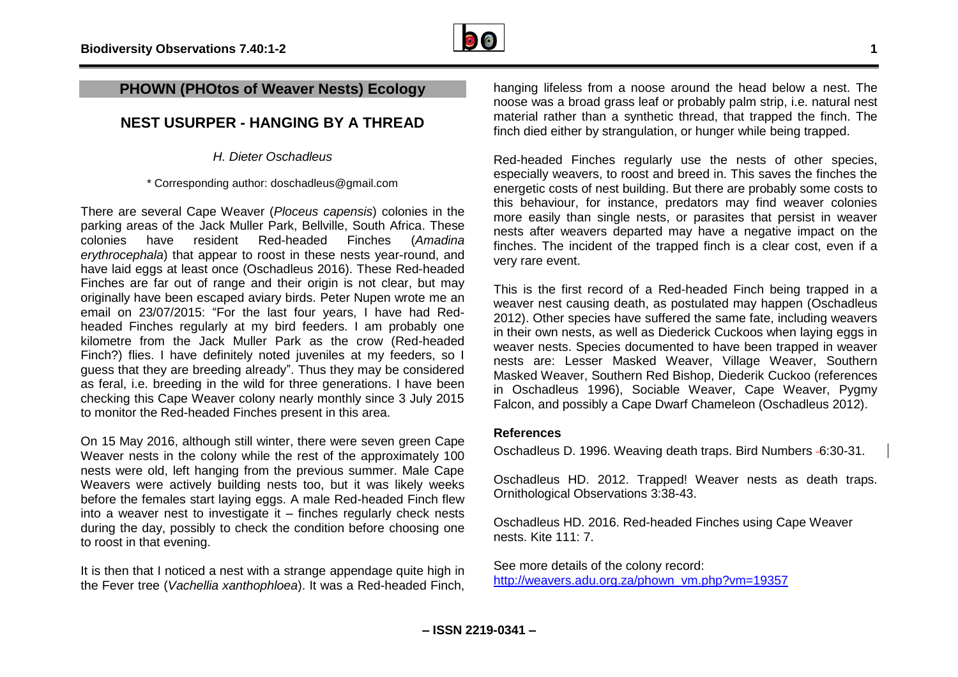

### **PHOWN (PHOtos of Weaver Nests) Ecology**

## **NEST USURPER - HANGING BY A THREAD**

*H. Dieter Oschadleus*

\* Corresponding author: doschadleus@gmail.com

There are several Cape Weaver (*Ploceus capensis*) colonies in the parking areas of the Jack Muller Park, Bellville, South Africa. These colonies have resident Red-headed Finches (*Amadina erythrocephala*) that appear to roost in these nests year-round, and have laid eggs at least once (Oschadleus 2016). These Red-headed Finches are far out of range and their origin is not clear, but may originally have been escaped aviary birds. Peter Nupen wrote me an email on 23/07/2015: "For the last four years, I have had Redheaded Finches regularly at my bird feeders. I am probably one kilometre from the Jack Muller Park as the crow (Red-headed Finch?) flies. I have definitely noted juveniles at my feeders, so I guess that they are breeding already". Thus they may be considered as feral, i.e. breeding in the wild for three generations. I have been checking this Cape Weaver colony nearly monthly since 3 July 2015 to monitor the Red-headed Finches present in this area.

On 15 May 2016, although still winter, there were seven green Cape Weaver nests in the colony while the rest of the approximately 100 nests were old, left hanging from the previous summer. Male Cape Weavers were actively building nests too, but it was likely weeks before the females start laying eggs. A male Red-headed Finch flew into a weaver nest to investigate it – finches regularly check nests during the day, possibly to check the condition before choosing one to roost in that evening.

It is then that I noticed a nest with a strange appendage quite high in the Fever tree (*Vachellia xanthophloea*). It was a Red-headed Finch, hanging lifeless from a noose around the head below a nest. The noose was a broad grass leaf or probably palm strip, i.e. natural nest material rather than a synthetic thread, that trapped the finch. The finch died either by strangulation, or hunger while being trapped.

Red-headed Finches regularly use the nests of other species, especially weavers, to roost and breed in. This saves the finches the energetic costs of nest building. But there are probably some costs to this behaviour, for instance, predators may find weaver colonies more easily than single nests, or parasites that persist in weaver nests after weavers departed may have a negative impact on the finches. The incident of the trapped finch is a clear cost, even if a very rare event.

This is the first record of a Red-headed Finch being trapped in a weaver nest causing death, as postulated may happen (Oschadleus 2012). Other species have suffered the same fate, including weavers in their own nests, as well as Diederick Cuckoos when laying eggs in weaver nests. Species documented to have been trapped in weaver nests are: Lesser Masked Weaver, Village Weaver, Southern Masked Weaver, Southern Red Bishop, Diederik Cuckoo (references in Oschadleus 1996), Sociable Weaver, Cape Weaver, Pygmy Falcon, and possibly a Cape Dwarf Chameleon (Oschadleus 2012).

#### **References**

Oschadleus D. 1996. Weaving death traps. Bird Numbers -6:30-31.

Oschadleus HD. 2012. Trapped! Weaver nests as death traps. Ornithological Observations 3:38-43.

Oschadleus HD. 2016. Red-headed Finches using Cape Weaver nests. Kite 111: 7.

See more details of the colony record: [http://weavers.adu.org.za/phown\\_vm.php?vm=19357](http://weavers.adu.org.za/phown_vm.php?vm=19357)